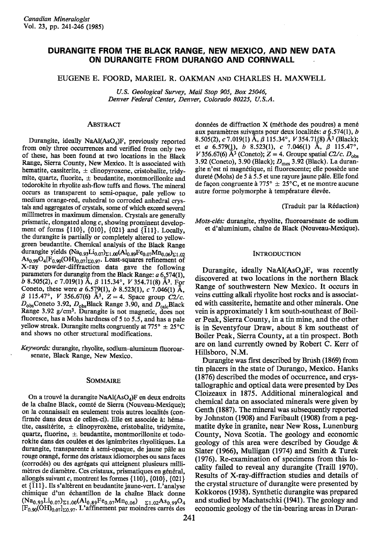# DURANGITE FROM THE BLACK RANGE, NEW MEXICO, AND NEW DATA ON DURANGITE FROM DURANGO AND CORNWALL

EUGENE E. FOORD. MARIEL R. OAKMAN AND CHARLES H. MAXWELL

U.S. Geological Survey, Mail Stop 905, Box 25046, Denver Federal Center, Denver, Colorado 80225, U.S.A.

# **ABSTRACT**

Durangite, ideally  $NaAl(AsO<sub>4</sub>)F$ , previously reported from only three occurrences and verified from only two of these, has been found at two locations in the Black Range, Sierra County, New Mexico. It is associated with hematite, cassiterite,  $\pm$  clinopyroxene, cristobalite, tridymite, quartz, fluorite,  $\pm$  beudantite, montmorillonite and todorokite in rhyolite ash-flow tuffs and flows. The mineral occurs as transparent to semi-opaque, pale yellow to medium orange-red, euhedral to corroded anhedral crystals and aggregates of crystals, some of which exceed several millimetres in maximum dimension. Crystals are generally prismatic, elongated along  $c$ , showing prominent development of forms  $\{110\}$ ,  $\{010\}$ ,  $\{021\}$  and  $\{\bar{1}11\}$ . Locally, the durangite is partially or completely altered to yellowgreen beudantite. Chemical analysis of the Black Range durangite yields  $(Na_{0.93}Li_{0.07})_{\Sigma1.00}(Al_{0.89}Fe_{0.07}Mn_{0.06})_{\Sigma1.02}$ As<sub>0.99</sub>O<sub>4</sub>[F<sub>0.90</sub>(OH)<sub>0.07</sub>]<sub> $\Sigma$ 0.97</sub>. Least-squares refinement of X-ray powder-diffraction data gave the following parameters for durangite from the Black Range:  $a$  6.574(1), b 8.505(2), c 7.019(1) A,  $\beta$  115.34°, V 354.71(8) A<sup>3</sup>. For Coneto, these were a 6.579(1), b 8.523(1), c 7.046(1) A,  $β$  115.47°, *V* 356.67(6)  $Å^3$ ,  $Z = 4$ . Space group C<sub>2</sub>/c.  $D_{obs}$ Coneto 3.92,  $D_{obs}$ Black Range 3.90, and  $D_{calc}$ Black Range 3.92 g/cm<sup>3</sup>. Durangite is not magnetic, does not fluoresce, has a Mohs hardness of 5 to 5.5, and has a pale yellow streak. Durangite melts congruently at 775°  $\pm 25^{\circ}$ C and shows no other structural modifications.

Keywords: durangite, rhyolite, sodium-aluminum fluoroarsenate, Black Range, New Mexico.

#### SOMMAIRE

On a trouvé la durangite NaAl(AsO<sub>4</sub>)F en deux endroits de la chaîne Black, comté de Sierra (Nouveau-Mexique); on la connaissait en seulement trois autres localités (confirmée dans deux de celles-ci). Elle est associée à: hématite, cassitérite,  $\pm$  clinopyroxène, cristobalite, tridymite, quartz, fluorine,  $\pm$  beudantite, montmorillonite et todorokite dans des coulées et des ignimbrites rhyolitiques. La durangite, transparente à semi-opaque, de jaune pâle au rouge orang€, forme des cristaux idiomorphes ou sans faces (corrod€s) ou des agr6gats qui atteignent plusieurs millimètres de diamètre. Ces cristaux, prismatiques en général, allongés suivant c, montrent les formes {110}, {010}, {021} et  $\{\overline{1}11\}$ . Ils s'altèrent en beudantite jaune-vert. L'analyse chimique d'un échantillon de la chaîne Black donne  $(Na_{0.93}Li_{0.07})_{\Sigma1.00}(Al_{0.89}Fe_{0.07}Mn_{0.06})$   $\sum_{1.02}As_{0.99}O_4$ <br>[F<sub>0.90</sub>(OH)<sub>0.07</sub>]<sub>20.97</sub>. L'affinement par moindres carrés des

données de diffraction  $X$  (méthode des poudres) a mené aux paramètres suivants pour deux localités:  $a$  6.574(1),  $b$ 8.505(2), c 7.019(1) Å,  $\beta$  115.34°, V 354.71(8) Å<sup>3</sup> (Black); et a 6.579(1), b 8.523(1), c 7.046(1) A,  $\beta$  115.47°, V 356.67(6)  $\mathring{A}^3$  (Coneto); Z = 4. Groupe spatial C2/c.  $D_{obs}$ 3.92 (Coneto), 3.90 (Black);  $D_{\text{mes}}$  3.92 (Black). La durangite n'est ni magnétique, ni fluorescente; elle possède une dureté (Mohs) de 5 à 5.5 et une rayure jaune pâle. Elle fond de façon congruente à 775<sup>°</sup>  $\pm$  25<sup>°</sup>C, et ne montre aucune autre forme polymorphe à température élevée.

(Traduit par la R6daction)

Mots-clés: durangite, rhyolite, fluoroarsénate de sodium et d'aluminium, chaîne de Black (Nouveau-Mexique).

#### **INTRODUCTION**

Durangite, ideally NaAl(AsO<sub>4</sub>)F, was recently discovered at two locations in the northern Black Range of southwestern New Mexico. It occurs in veins cutting alkali rhyolite host rocks and is associated with cassiterite, hematite and other minerals. One vein is approximately I km south-southeast of Boiler Peak, Sierra County, in a tin mine, and the other is in Seventyfour Draw, about 8 km southeast of Boiler Peak, Sierra County, at atin prospect. Both are on land currently owned by Robert C. Kerr of Hillsboro, N.M.

Durangite was first described by Brush (1869) from tin placers in the state of Durango, Mexico. Hanks (1876) described the modes of occurrence, and crystallographic and optical data were presented by Des Cloizeaux in 1875. Additional mineralogical and chemical data on associated minerals were given by Genth (1887). The mineral was subsequently reported by Johnston (1908) and Faribault (1908) from a pegmatite dyke in granite, near New Ross, Lunenburg County, Nova Scotia. The geology and economic geology of this area were described by Goudge & Slater (1966), Mulligan (1974) and Smith & Turek (1976). Re-examination of specimens from this locality failed to reveal any durangite (Traill 1970). Results of X-ray-diffraction studies and details of the crystal structure of durangite were presented by Kokkoros (1938). Synthetic durangite was prepared and studied by Machatschki (1941). The geology and economic geology of the tin-bearing areas in Duran-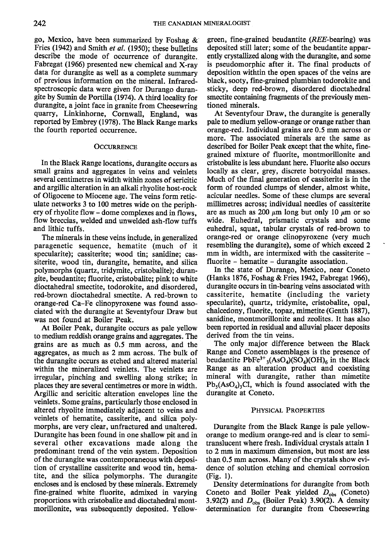go, Mexico, have been summarized by Foshag & Fries (1942) and Smith *et al.* (1950); these bulletins describe the mode of occurrence of durangite. Fabregat (1966) presented new chemical and X-ray data for durangite as well as a complete summary of previous information on the mineral. Infraredspectroscopic data were given for Durango durangite by Sumin de Portilla (1974). A rhird locality for durangite, a joint face in granite from Cheesewring quarry, Linkinhorne, Cornwall, England, was reported by Embrey (1978). The Black Range marks the fourth reported occurrence.

### **OCCURRENCE**

In the Black Range locations, durangite occurs as small grains and aggregates in veins and veinlets several centimetres in width within zones of sericitic and argillic alteration in an alkali rhyolite host-rock of Oligocene to Miocene age. The veins form reticulate networks 3 to 100 metres wide on the periphery of rhyolite flow - dome complexes and in flows, flow breccias, welded and unwelded ash-flow tuffs and lithic tuffs.

The minerals in these veins include, in generalized paragenetic sequence, hematite (much of it specularite); cassiterite; wood tin; sanidine; cassiterite, wood tin, durangite, hematite, and silica polymorphs (quartz, tridymite, cristobalite); durangite, beudantite; fluorite, cristobalite; pink to white dioctahedral smectite, todorokite, and disordered, red-brown dioctahedral smectite. A red-brown ro orange-red Ca-Fe clinopyroxene was found associated with the durangite at Seventyfour Draw but was not found at Boiler Peak.

At Boiler Peak, durangite occurs as pale yellow to medium reddish orange grains and aggregates. The grains are as much as 0.5 mm across, and the aggregates, as much as 2 mm across. The bulk of the durangite occurs as etched and altered material within the mineralized veinlets. The veinlets are irregular, pinching and swelling along strike; in places they are several centimetres or more in width. Argillic and sericitic alteration envelopes line the veinlets. Some grains, particularly those enclosed in altered rhyolite immediately adjacent to veins and veinlets of hematite, cassiterite, and silica polymorphs, are very clear, unfractured and unaltered. Durangite has been found in one shallow pit and in several other excavations made along the predominant trend of the vein system. Deposition of the durangite was contemporaneous with deposition of crystalline cassiterite and wood tin, hematite, and the silica polymorphs. The durangite encloses and is enclosed by these minerals. Extremely fine-grained white fluorite, admixed in varying proportions with cristobalite and dioctahedral montmorillonite, was subsequently deposited. Yellowgreen, fine-grained beudantite  $(REE\text{-}bearing)$  was deposited still later; some of the beudantite apparently crystallized along with the durangite, and some is pseudomorphic after it. The final products of deposition withtin the open spaces of the veins are black, sooty, fine-grained plumbian todorokite and sticky, deep red-brown, disordered dioctahedral smectite containing fragments of the previously mentioned minerals.

At Seventyfour Draw, the durangite is generally pale to medium yellow-orange or orange rather than orange-red. Individual grains are 0.5 mm across or more. The associated minerals are the same as described for Boiler Peak except that the white, finegrained mixture of fluorite, montmorillonite and cristobalite is less abundant here. Fluorite also occurs locally as clear, grey, discrete botryoidal masses. Much of the final generation of cassiterite is in the form of rounded clumps of slender, almost white, acicular needles. Some of these clumps are several millimetres across; individual needles of cassiterite are as much as 200  $\mu$ m long but only 10  $\mu$ m or so wide. Euhedral, prismatic crystals and some euhedral, squat, tabular crystals of red-brown to orange-red or orange clinopyroxene (very much resembling the durangite), some of which exceed 2 mm in width, are intermixed with the cassiterite fluorite - hematite - durangite association.

In the state of Durango, Mexico, near Coneto (Hanks 1876, Foshag & Fries 1942, Fabregat 1966), durangite occurs in tin-bearing veins associated with cassiterite, hematite (including the variety specularite), quartz, tridymite, cristobalite, opal, chalcedony, fluorite, topaz, mimetite (Genth 1887), sanidine, montmorillonite and zeolites. It has also been reported in residual and alluvial placer deposits derived from the tin veins.

The only major difference between the Black Range and Coneto assemblages is the presence of beudantite PbFe<sup>3+</sup><sub>3</sub>(AsO<sub>4</sub>)(SO<sub>4</sub>)(OH)<sub>6</sub> in the Black Range as an alteration product and coexisting mineral with durangite, rather than mimetite  $Pb_5(AsO_4)$ <sub>3</sub>Cl, which is found associated with the durangite at Coneto.

#### PHYSICAL PROPERTIES

Durangite from the Black Range is pale yelloworange to medium orange-red and is clear to semitranslucent where fresh. Individual crystals attain I to 2 mm in maximum dimension, but most are less than 0.5 mm across. Many of the crystals show evidence of solution etching and chemical corrosion (Fie. l).

Density determinations for durangite from both Coneto and Boiler Peak yielded  $D_{obs}$  (Coneto) 3.92(2) and  $D_{obs}$  (Boiler Peak) 3.90(2). A density determination for durangite from Cheesewring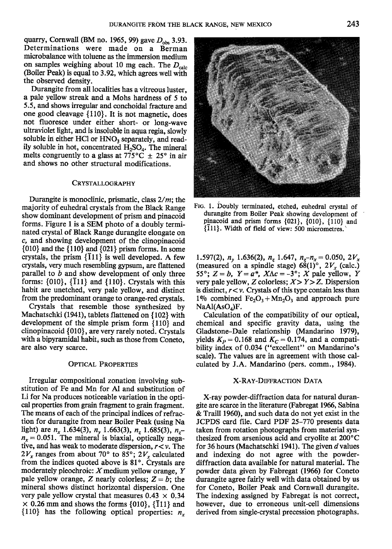quarry, Cornwall (BM no. 1965, 99) gave  $D_{obs}$  3.93. Determinations were made on a Berman microbalance with toluene as the immersion medium on samples weighing about 10 mg each. The  $D_{\text{calc}}$ (Boiler Peak) is equal to 3.92, which agrees well with the observed density.

Durangite from all localities has a vitreous luster, a pale yellow streak and a Mohs hardness of 5 to 5.5, and shows irregular and conchoidal fracture and one good cleavage  $\{110\}$ . It is not magnetic, does not fluoresce under either short- or long-wave ultraviolet light, and is insoluble in aqua regia, slowly soluble in either HCl or HNO<sub>3</sub> separately, and readily soluble in hot, concentrated  $H_2SO_4$ . The mineral melts congruently to a glass at 775<sup>o</sup>C  $\pm$  25<sup>o</sup> in air and shows no other structural modifications.

# CRYSTALLOGRAPHY

Durangite is monoclinic, prismatic, class  $2/m$ ; the majority of euhedral crystals from the Black Range show dominant development of prism and pinacoid forms. Figure I is a SEM photo of a doubly terminated crystal of Black Range durangite elongate on c, and showing development of the clinopinacoid  $\{010\}$  and the  $\{110\}$  and  $\{021\}$  prism forms. In some crystals, the prism  $\{111\}$  is well developed. A few crystals, very much resembling gypsum, are flattened parallel to  $b$  and show development of only three forms:  $\{010\}$ ,  $\{\overline{1}11\}$  and  $\{110\}$ . Crystals with this habit are unetched, very pale yellow, and distinct from the predominant orange to orange-red crystals.

Crystals that resemble those synthesized by Machatschki (1941), tablets flattened on {102} with development of the simple prism form {110} and clinopinacoid {010}, are very rarely noted. Crystals with a bipyramidal habit; such as those from Coneto, are also very scarce.

# **OPTICAL PROPERTIES**

Irregular compositional zonation involving substitution of Fe and Mn for Al and substitution of Li for Na produces noticeable variation in the optical properties from grain fragment to grain fragment. The means of each of the principal indices of refraction for durangite from near Boiler Peak (using Na light) are  $n_x$  1.634(3),  $n_y$  1.663(3),  $n_z$  1.685(3),  $n_z$  $n_x = 0.051$ . The mineral is biaxial, optically negative, and has weak to moderate dispersion,  $r < v$ . The  $2V_x$  ranges from about 70° to 85°;  $2V_x$  calculated from the indices quoted above is  $81^\circ$ . Crystals are moderately pleochroic:  $X$  medium yellow orange,  $Y$ pale yellow orange, Z nearly colorless;  $Z = b$ ; the mineral shows distinct horizontal dispersion. One very pale yellow crystal that measures  $0.43 \times 0.34$  $\times$  0.26 mm and shows the forms {010}, {111} and  $\{110\}$  has the following optical properties:  $n_x$ 

FIG. 1. Doubly terminated, etched, euhedral crystal of durangite from Boiler Peak showing development of pinacoid and prism forms {021}, {010}, {110} and

 $\{\overline{1}11\}$ . Width of field of view: 500 micrometres.

1.597(2),  $n_y$  1.636(2),  $n_z$  1.647,  $n_z$ - $n_x$  = 0.050, 2 $V_x$ (measured on a spindle stage)  $68(1)^\circ$ ,  $2V_x$  (calc.) 55°;  $Z = b$ ,  $Y = a^*$ ,  $X \Lambda c = -3$ °; X pale yellow, Y very pale yellow, Z colorless;  $X > Y > Z$ . Dispersion is distinct,  $r < v$ . Crystals of this type contain less than 1% combined Fe<sub>2</sub>O<sub>3</sub> + Mn<sub>2</sub>O<sub>3</sub> and approach pure  $NaAl(AsO<sub>A</sub>)F.$ 

Calculation of the compatibility of our optical, chemical and specific gravity data, using the Gladstone-Dale relationship (Mandarino 1979), yields  $K_p = 0.168$  and  $K_c = 0.174$ , and a compatibility index of 0.034 ("excellent" on Mandarino's scale). The values are in agreement with those calculated by J.A. Mandarino (pers. comm., 1984).

### X-RAY.DIFFRACTIoN DATA

X-ray powder-diffraction data for natural durangite are scarce in the literature (Fabregat 1966, Sabina & Traill 1960), and such data do not yet exist in the JCPDS card file. Card PDF 25-170 presents data taken from rotation photographs from material synthesized from arsenious acid and cryolite at  $200^{\circ}$ C for 36 hours (Machatschki 1941). The given d values and indexing do not agree with the powderdiffraction data available for natural material. The powder data given by Fabregat (1966) for Coneto durangite agree fairly well with data obtained by us for Coneto, Boiler Peak and Cornwall durangite. The indexing assigned by Fabregat is not correct, however, due to erroneous unit-cell dimensions derived from single-crystal precession photographs.

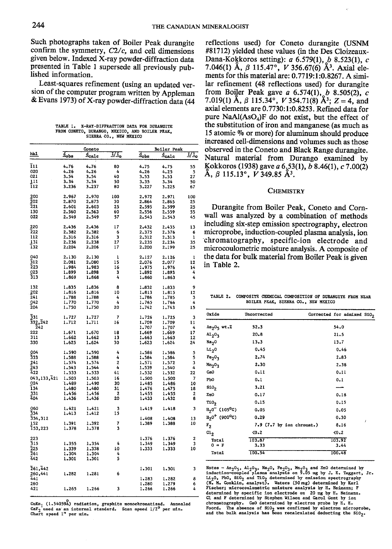Such photographs taken of Boiler Peak durangite confirm the symmetry,  $C2/c$ , and cell dimensions given below. Indexed X-ray powder-diffraction data presented in Table 1 supersede all previously published information.

Least-squares refinement (using an updated version of the computer program written by Appleman & Evans 1973) of X-ray powder-diffraction data (44

TARLE 1. X-RAY-DIFFRACTION DATA FOR DURANGITE FROM CONETO, DURANGO, MEXICO, AND BOILER PEAK, SIERRA CO., NEW MEXICO

|                                                 | Coneto            |                    | <b>Boiler Peak</b> |                   |                   |         |
|-------------------------------------------------|-------------------|--------------------|--------------------|-------------------|-------------------|---------|
| hk1.                                            | $\frac{1}{4}$ obs | $\frac{d}{2}$ ca1e | IJI,               | $\frac{1}{4}$ obs | d <sub>eale</sub> | IJI,    |
|                                                 |                   |                    |                    |                   |                   |         |
| ī11<br>020                                      | 4,76<br>4.26      | 4.76<br>4,26       | 80<br>4            | 4.75<br>4.26      | 4.75<br>4,25      | 55<br>5 |
| 021                                             | 3.54              | 3.54               | 40                 | 3.53              | 3,53              | 27      |
| 111                                             | 3.34              | 3.34               | 50                 | 3,35              | 3,34              | 50      |
| 112                                             | 3.236             | 3,237              | 80                 | 3,227             | 3.225             | 67      |
| 200                                             | 2,967             | 2.970              | 100                | 2.972             | 2.971             | 100     |
| 202                                             | 2.870             | 2.873              | 30                 | 2.864             | 2.865             | 25      |
| 221                                             | 2.601             | 2.603              | 25                 | 2,595             | 2.599             | 25      |
| 130                                             | 2.560             | 2.563              | 60                 | 2.556             | 2.559             | 55      |
| 022                                             | 2.549             | 2,549              | 57                 | 2.543             | 2.543             | 45      |
| 220                                             | 2.436             | 2.436              | 17                 | 2.432             | 2.435             | 13      |
| 222                                             | 2,382             | 2.382              | 6                  | 2,375             | 2.376             | 6       |
| 112                                             | 2.316             | 2,316              | 3                  | 2.312             | 2.313             | 1       |
| 131<br>132                                      | 2.236<br>2,204    | 2.238              | 27<br>17           | 2.235             | 2.234             | 35      |
|                                                 |                   | 2.206              |                    | 2.200             | 2,199             | 25      |
| 040                                             | 2.130             | 2.130              | ı                  | 2.127             | 2.126             | 1       |
| 312<br>223                                      | 2.081             | 2,080              | 15                 | 2.076             | 2.077             | 12      |
| 023                                             | 1.984<br>1.899    | 1.983              | 16<br>3            | 1.975             | 1,976             | 14      |
| 313                                             | 1.869             | 1.898<br>1,868     | 4                  | 1,892<br>1,860    | 1,893<br>1.863    | 4<br>4  |
|                                                 |                   |                    |                    |                   |                   |         |
| 132                                             | 1.835             | 1,836              | 8                  | 1.832             | 1.833             | 9       |
| 202                                             | 1.816             | 1,816              | 10                 | 1.813             | 1.815             | 12      |
| 241<br>042                                      | 1.788<br>1.770    | 1.788<br>1.770     | 4<br>4             | 1,786<br>1.765    | 1.785             | 3<br>4  |
| 204                                             | 1.750             | 1.750              | 20                 | 1.742             | 1.766<br>1.743    | 15      |
|                                                 |                   |                    |                    |                   |                   |         |
| 331                                             | 1,727             | 1,727              | 7                  | 1.726             | 1.725             | 3       |
| 332,242                                         | 1.712             | 1.711              | 16                 | 1.709             | 1,709             | 11      |
| 242<br>222                                      | 1.671             | 1,670              | 18                 | 1.707             | 1.707             | 4<br>17 |
| 311                                             | 1.662             | 1,662              | 13                 | 1,669<br>1.663    | 1.669<br>1.663    | 12      |
| 330                                             | 1.625             | 1.624              | 30                 | 1.623             | 1,624             | 24      |
|                                                 |                   |                    |                    |                   |                   |         |
| 004<br>333                                      | 1.590             | 1.590              | 4                  | 1.586             | 1.586             | 5       |
|                                                 | 1.588             | 1,588              | 4                  | 1,584             | 1.584             | 5       |
| 241<br>243                                      | 1.574<br>1.543    | 1.574<br>1,544     | 2<br>4             | 1,571<br>1,539    | 1.572<br>1.540    | 3<br>4  |
| 422                                             | 1,533             | 1,533              | 41                 | 1.532             | 1,532             | 22      |
| 043,133,421                                     | 1.503             | 1.503              | 16                 | 1.500             | 1,500             | 7       |
| 024                                             | 1.489             | 1.490              | 30                 | 1.485             | 1.486             | 10      |
| 134                                             | 1.480             | 1,480              | 31                 | 1,476             | 1.475             | 18      |
| 331                                             | 1.456             | 1,456              | 2                  | 1,455             | 1.455             | 2       |
| 404                                             | 1.436             | 1.436              | 20                 | 1,433             | 1,432             | 8       |
| 060                                             | 1.421             | 1.421              | 3                  | 1.419             | 1.418             | з       |
| 334<br>334,312                                  | 1,413             | 1.412              | 15                 |                   |                   |         |
|                                                 |                   |                    |                    | 1,408             | 1,408             | 13      |
| 152                                             | 1,391             | 1.392              | 7                  | 1.389             | 1,388             | 10      |
| 153,223                                         | 1.378             | 1.378              | 3                  |                   |                   |         |
| 223                                             |                   |                    |                    | 1,376             | 1.376             | 2       |
| $\frac{1}{3}$<br>$\frac{1}{2}$<br>$\frac{2}{3}$ | 1.355             | 1,354              | 4                  | 1.349             | 1.349             | 3       |
| 261                                             | 1.339<br>1.304    | 1.338<br>1,304     | 10<br>4            | 1.333             | 1.333             | 10      |
| 442                                             | 1.301             | 1,301              | 5                  |                   |                   |         |
|                                                 |                   |                    |                    |                   |                   |         |
| 261,442                                         |                   |                    |                    | 1,301             | 1,301             | 3       |
| 260,441                                         | 1,282             | 1,281              | 6                  |                   |                   |         |
| 441<br>260                                      |                   |                    |                    | 1,283<br>1.280    | 1.282             | 8<br>6  |
| 421                                             | 1.265             | 1.266              | 3                  | 1.266             | 1,279<br>1.266    | 4       |
|                                                 |                   |                    |                    |                   |                   |         |

CuKa<sub>l</sub> (1.54059<sup>2</sup>) radiation, graphite monochromatized. Annealed CaF<sub>2</sub> used as an internal standard. Scan speed  $1/2^9$  per min. Chart speed  $1$ <sup>7</sup> per min.

reflections used) for Coneto durangite (USNM #81712) yielded these values (in the Des Cloizeaux-Dana-Kokkoros setting):  $a$  6.579(1),  $b$  8.523(1),  $c$ 7.046(1) Å,  $\beta$  115.47°, V 356.67(6) Å<sup>3</sup>. Axial elements for this material are: 0.7719:1:0.8267. A similar refinement (48 reflections used) for durangite from Boiler Peak gave *a* 6.574(1), *b* 8.505(2), *c* 7.019(1) Å,  $\beta$  115.34°, V 354.71(8) Å<sup>3</sup>; Z = 4, and axial elements are 0.7730:1:0.8253. Refined data for pure  $NaAl(AsO<sub>4</sub>)F$  do not exist, but the effect of the substitution of iron and manganese (as much as 15 atomic % or more) for aluminum should produce increased cell-dimensions and volumes such as those observed in the Coneto and Black Range durangite. Natural material from Durango examined by Kokkoros (1938) gave  $a$  6.53(1),  $b$  8.46(1),  $c$  7.00(2)  $\AA$ ,  $\beta$  115.13°, V 349.85  $\AA$ <sup>3</sup>.

### **CHEMISTRY**

Durangite from Boiler Peak, Coneto and Cornwall was analyzed by a combination of methods including six-step emission spectrography, electron microprobe, induction-coupled plasma analysis, ion chromatography, specific-ion electrode and microcoulometric moisture analysis. A composite of the data for bulk material from Boiler Peak is given in Table 2.

TABLE 2. COMPOSITE CHEMICAL COMPOSITION OF DURANGITE FROM NEAR BOILER PEAK, SIERRA CO., NEW MEXICO

| Oxide                                     | Uncorrected                    | Corrected for admixed SiO2 |  |
|-------------------------------------------|--------------------------------|----------------------------|--|
| $As2O5$ wt.2                              | 52.3                           | 54.0                       |  |
| A1 <sub>2</sub> 0 <sub>3</sub>            | $20 - 8$                       | 21.5                       |  |
| Na <sub>2</sub> 0                         | 13.3                           | 13.7                       |  |
| <b>1420</b>                               | 0.45                           | 0.46                       |  |
| Fe <sub>2</sub> O <sub>3</sub>            | 2.74                           | 2.83                       |  |
| Mn <sub>2</sub> O <sub>3</sub>            | 2.30                           | 2.38                       |  |
| CaO                                       | 0.11                           | 0.11                       |  |
| Pb0                                       | $0 - 1$                        | 0.1                        |  |
| s10,                                      | 3.21                           |                            |  |
| ZnO                                       | 0.17                           | 0.18                       |  |
| T10 <sub>2</sub>                          | 0.15                           | 0.15                       |  |
| $H_20^-$ (105 <sup>0</sup> C)             | 0.05                           | 0.05                       |  |
| $H_2$ 0 <sup>+</sup> (900 <sup>o</sup> C) | 0.29                           | 0.30                       |  |
| $r_{2}$                                   | $7.9$ ( $7.7$ by ion chromat.) | 8.16                       |  |
| $c_{12}$                                  | 0.2                            | 0.2                        |  |
| Total<br>$0 - F$                          | 103.87<br>3.33                 | 103.92<br>3.44             |  |
| Total                                     | 100.54                         | 100.48                     |  |

Notes - As<sub>2</sub>0<sub>5</sub>, Al<sub>2</sub>0<sub>3</sub>, Na<sub>2</sub>0, Fe<sub>2</sub>0<sub>3</sub>, Mn<sub>2</sub>0<sub>3</sub> and ZnO determined by<br>induction-coupled plasma analysis on 9.05 mg by J. E. Taggart, Jr. idad. how confined by emission spectrography<br>ido, Rb catching and Tio, determined by emission spectrography<br> $(N, N,$  Conklin, analyst, Waters (50 mg) determined by Karl<br>Fischer; microcoulometric moisture analysis by R. Neima determined by specific ion electrode on 20 mg by H. Neimann. Cl and F determined by Stephen Wilson and Carol Gent by ion chromatography. CaO determined by electron probe by E. E.<br>chromatography. CaO determined by electron probe by E. Foord. The absence of 510, was confirmed by electron microprobe,<br>and the bulk analysis has been recalculated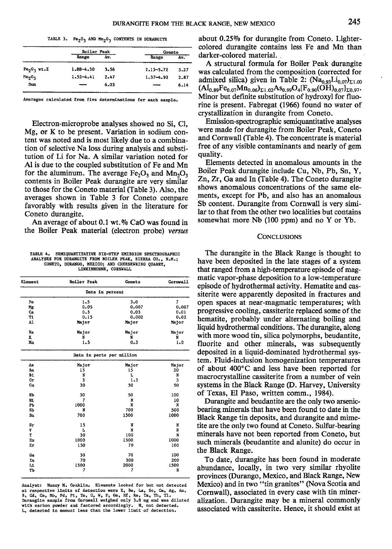|                                | Boiler Peak   |      | Coneto        |      |
|--------------------------------|---------------|------|---------------|------|
|                                | Range         | Av.  | Range         | Av.  |
| $Fe2O3$ wt. $Z$                | 1.88-4.50     | 3.56 | $2.13 - 5.72$ | 3.27 |
| Mn <sub>2</sub> 0 <sub>3</sub> | $1.52 - 4.41$ | 2.47 | $1.37 - 4.92$ | 2.87 |
| Sum                            |               | 6.03 |               | 6.14 |

Averages calculated from five determinations for each sample.

Electron-microprobe analyses showed no Si, Cl, Mg, or K to be present. Variation in sodium content was noted and is most likely due to a combination of selective Na loss during analysis and substitution of Li for Na. A similar variation noted for Al is due to the coupled substitution of Fe and Mn for the aluminum. The average  $Fe<sub>2</sub>O<sub>3</sub>$  and  $Mn<sub>2</sub>O<sub>3</sub>$ contents in Boiler Peak durangite are very similar to those for the Coneto material (Table 3). Also, the averages shown in Table 3 for Coneto compare favorably with results given in the literature for Coneto durangite.

An average of about 0.1 wt.% CaO was found in the Boiler Peak material (electron probe) versus

TABLE 4. SEMIQUANTITATIVE SIX-STEP EMISSION SPECTROGRAPHI<br>ANALYSES FOR DURANGITE FROM BOILER PEAK, SIERRA CO., N.M.; CONETO, DURANGO, MEXICO; AND CHEESEWRING QUARRY, LINKINHORNE, CORNWALL

| Element          | <b>Boiler Peak</b>        | Conato | Cornwall |
|------------------|---------------------------|--------|----------|
|                  | Data in percent           |        |          |
| Fe               | 1.5                       | 3.0    | 7        |
| Mg               | 0.05                      | 0.007  | 0.007    |
| Ca               | 0.3                       | 0.03   | 0.01     |
| T1               | 0.15                      | 0.002  | 0.02     |
| A1               | Major                     | Major  | Major    |
| Na               | Major                     | мајог  | Major    |
| ĸ                | N                         | N      | N        |
| Mn               | 1.5                       | 0.3    | 1.0      |
|                  | Data in parts per million |        |          |
| Åв               | Major                     | Major  | Major    |
| Ba               | 15                        | 15     | 20       |
| Bi               | N                         | L      | N        |
| Cr               | 3                         | 1.5    | 5        |
| Cu               | 30                        | 50     | 50       |
| Nb               | 30                        | 50     | 100      |
| N1               | 7                         | N      | 10       |
| PЪ               | 1000                      | N      | N        |
| SЬ               | N                         | 700    | 500      |
| S <sub>II</sub>  | 700                       | 1500   | 1000     |
| $s_{\mathbf{r}}$ | 15                        | N      | N        |
| V                | L                         | N      | N        |
| Y                | 30                        | 100    | N        |
| Zn               | 1000                      | 1500   | 1000     |
| Zτ               | 150                       | 70     | 100      |
| Ga               | 30                        | 70     | 100      |
| In               | 70                        | 300    | 200      |
| м                | 1500                      | 2000   | 1500     |
| YЪ               | 7                         | 7      | Ń        |

Analyst: Nancy M. Conklin. Elements looked for but not detected at respective limits of detection were K, Be, La, Sc, Ca, Ag, Au,<br>B, Cd, Co, Mo, Pd, Pt, Te, U, W, P, Ge, Hf, Re, Ta, Th, Tl.<br>Durangite sample from Cornwall weighed only 3.8 mg and was dilute with carbon powder and factored accordingly. N, not detected. detected in amount less than the lower limit of detection.

TABLE 3.  $F e_2 O_3$  AND  $m_2 O_3$  contents in durangite about  $0.25\%$  for durangite from Coneto. Lightercolored durangite contains less Fe and Mn than darker-colored material.

> A structural formula for Boiler Peak durangite was calculated from the composition (corrected for admixed silica) given in Table 2:  $(Na_{0.93}Li_{0.07})_{\Sigma1.00}$  $\rm (Al_{0.89}Fe_{0.07}Mn_{0.06})_{\Sigma1.02}As_{0.99}O_4[F_{0.90}(OH)_{0.07}]_{\Sigma0.97}.$ Minor but definite substitution of hydroxyl for fluorine is present. Fabregat (1966) found no water of crystallization in durangite from Coneto.

> Emission-spectrographic semiquantitative analyses were made for durangite from Boiler Peak, Coneto and Cornwall (Table 4), The concentrate is material free of any visible contaminants and nearly of gem quality.

> Elements detected in anomalous amounts in the Boiler Peak durangite include Cu, Nb, Pb, Sn, Y, Zn, Zr, Ga and In (Table 4). The Coneto durangite shows anomalous concentrations of the same elements, except for Pb, and also has an anomalous Sb content. Durangite from Cornwall is very similar to that from the other two localities but contains somewhat more Nb  $(100$  ppm) and no Y or Yb.

#### CONCLUSIONS

The durangite in the Black Range is thought to have been deposited in the late stages of a system that ranged from a high-temperature episode of magmatic vapor-phase deposition to a low-temperature episode of hydrothermal activity. Hematite and cassiterite were apparently deposited in fractures and open spaces at near-magmatic temperatures; with progressive cooling, cassiterite replaced some of the hematite, probably under alternating boiling and liquid hydrothermal conditions. The durangite, along with more wood tin, silica polymorphs, beudantite, fluorite and other minerals, was subsequently deposited in a liquid-dominated hydrothermal system. Fluid-inclusion homogenization temperatures of about 400°C and less have been reported for macrocrystalline cassiterite from a number of vein systems in the Black Range (D. Harvey, University of Texas, El Paso, wrilten comm., 1984).

Durangite and beudantite are the only two arsenicbearing minerals that have been found to date in the Black Range tin deposits, and durangite and mimetite are the only two found at Coneto. Sulfur-bearing minerals have not been reported from Coneto, but such minerals (beudantite and alunite) do occur in the Black Range.

To date, durangite has been found in moderate abundance, locally, in two very similar rhyolite provinces (Durango, Mexico, and Black Range, New Mexico) and in two "tin granites" (Nova Scotia and Cornwall), associated in every case with tin mineralization. Durangite may be a mineral commonly associated with cassiterite. Hence, it should exist at